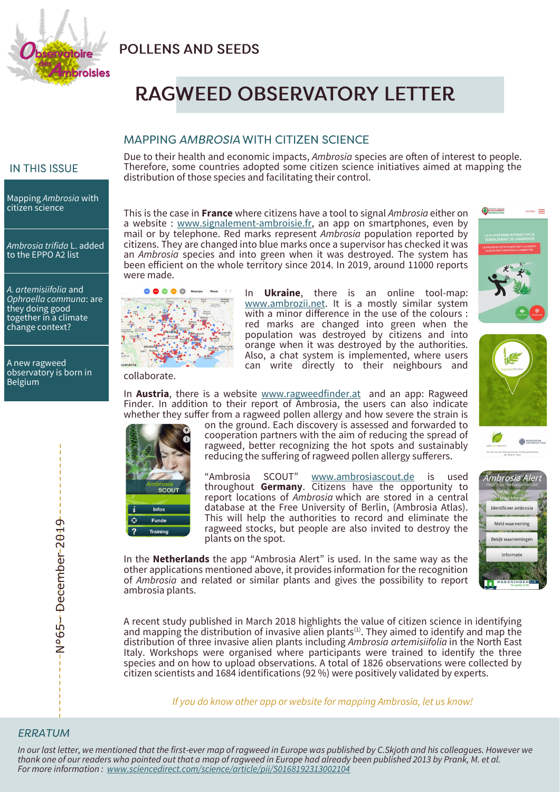

# **POLLENS AND SEEDS**

# **RAGWEED OBSERVATORY LETTER**

## **MAPPING AMBROSIA WITH CITIZEN SCIENCE**

## **IN THIS ISSUE**

Mapping *Ambrosia* with citizen science

*Ambrosia trifida* L. added to the EPPO A2 list

*A. artemisiifolia* and *Ophraella communa*: are they doing good together in a climate change context?

A new ragweed observatory is born in Belgium

Due to their health and economic impacts, *Ambrosia* species are often of interest to people. Therefore, some countries adopted some citizen science initiatives aimed at mapping the distribution of those species and facilitating their control.

This is the case in **France** where citizens have a tool to signal *Ambrosia* either on a website : [www.signalement](http://www.signalement-ambroisie.fr,)-ambroisie.fr, an app on smartphones, even by mail or by telephone. Red marks represent *Ambrosia* population reported by citizens. They are changed into blue marks once a supervisor has checked it was an *Ambrosia* species and into green when it was destroyed. The system has been efficient on the whole territory since 2014. In 2019, around 11000 reports were made.



collaborate.

In **Ukraine**, there is an online tool-map: [www.ambrozii.net.](http://www.ambrozii.net) It is a mostly similar system with a minor difference in the use of the colours : red marks are changed into green when the population was destroyed by citizens and into orange when it was destroyed by the authorities. Also, a chat system is implemented, where users can write directly to their neighbours and

In **Austria**, there is a website [www.ragweedfinder.at](http://www.ragweedfinder.at) and an app: Ragweed Finder. In addition to their report of Ambrosia, the users can also indicate whether they suffer from a ragweed pollen allergy and how severe the strain is



on the ground. Each discovery is assessed and forwarded to cooperation partners with the aim of reducing the spread of ragweed, better recognizing the hot spots and sustainably reducing the suffering of ragweed pollen allergy sufferers.

"Ambrosia SCOUT" [www.ambrosiascout.de](http://ambrosiascout.de/) is used throughout **Germany**. Citizens have the opportunity to report locations of *Ambrosia* which are stored in a central database at the Free University of Berlin, (Ambrosia Atlas). This will help the authorities to record and eliminate the ragweed stocks, but people are also invited to destroy the plants on the spot.

In the **Netherlands** the app "Ambrosia Alert" is used. In the same way as the other applications mentioned above, it provides information for the recognition of *Ambrosia* and related or similar plants and gives the possibility to report ambrosia plants.

A recent study published in March 2018 highlights the value of citizen science in identifying and mapping the distribution of invasive alien plants<sup>(1)</sup>. They aimed to identify and map the distribution of three invasive alien plants including *Ambrosia artemisiifolia* in the North East Italy. Workshops were organised where participants were trained to identify the three species and on how to upload observations. A total of 1826 observations were collected by citizen scientists and 1684 identifications (92 %) were positively validated by experts.





N°65-December-2019 December 2019

*In our last letter, we mentioned that the first-ever map of ragweed in Europe was published by C.Skjoth and his colleagues. However we thank one of our readers who pointed out that a map of ragweed in Europe had already been published 2013 by Prank, M. et al. For more information : [www.sciencedirect.com/science/article/pii/S0168192313002104](https://www.sciencedirect.com/science/article/pii/S0168192313002104)*



AMBROISE